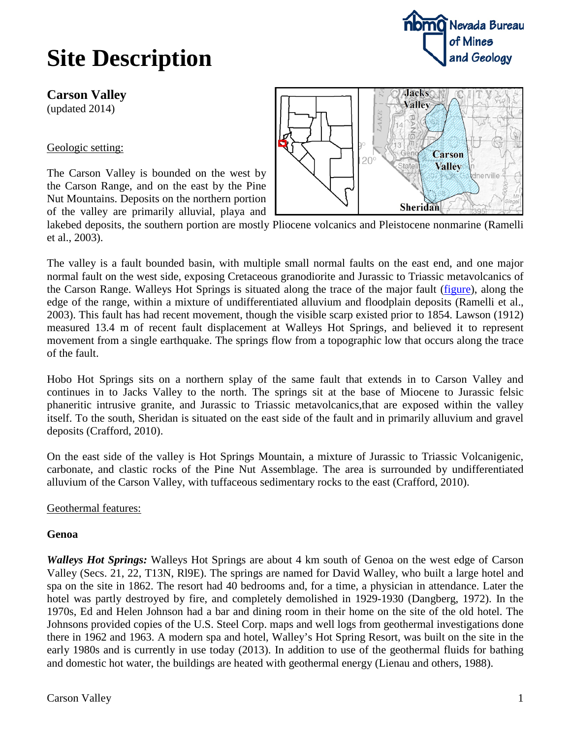**Carson Valley**

(updated 2014)

Geologic setting:

The Carson Valley is bounded on the west by the Carson Range, and on the east by the Pine Nut Mountains. Deposits on the northern portion of the valley are primarily alluvial, playa and



lakebed deposits, the southern portion are mostly Pliocene volcanics and Pleistocene nonmarine (Ramelli et al., 2003).

The valley is a fault bounded basin, with multiple small normal faults on the east end, and one major normal fault on the west side, exposing Cretaceous granodiorite and Jurassic to Triassic metavolcanics of the Carson Range. Walleys Hot Springs is situated along the trace of the major fault [\(figure\)](http://www.nbmg.unr.edu/Geothermal/figures/fig17.pdf), along the edge of the range, within a mixture of undifferentiated alluvium and floodplain deposits (Ramelli et al., 2003). This fault has had recent movement, though the visible scarp existed prior to 1854. Lawson (1912) measured 13.4 m of recent fault displacement at Walleys Hot Springs, and believed it to represent movement from a single earthquake. The springs flow from a topographic low that occurs along the trace of the fault.

Hobo Hot Springs sits on a northern splay of the same fault that extends in to Carson Valley and continues in to Jacks Valley to the north. The springs sit at the base of Miocene to Jurassic felsic phaneritic intrusive granite, and Jurassic to Triassic metavolcanics,that are exposed within the valley itself. To the south, Sheridan is situated on the east side of the fault and in primarily alluvium and gravel deposits (Crafford, 2010).

On the east side of the valley is Hot Springs Mountain, a mixture of Jurassic to Triassic Volcanigenic, carbonate, and clastic rocks of the Pine Nut Assemblage. The area is surrounded by undifferentiated alluvium of the Carson Valley, with tuffaceous sedimentary rocks to the east (Crafford, 2010).

Geothermal features:

### **Genoa**

*Walleys Hot Springs:* Walleys Hot Springs are about 4 km south of Genoa on the west edge of Carson Valley (Secs. 21, 22, T13N, Rl9E). The springs are named for David Walley, who built a large hotel and spa on the site in 1862. The resort had 40 bedrooms and, for a time, a physician in attendance. Later the hotel was partly destroyed by fire, and completely demolished in 1929-1930 (Dangberg, 1972). In the 1970s, Ed and Helen Johnson had a bar and dining room in their home on the site of the old hotel. The Johnsons provided copies of the U.S. Steel Corp. maps and well logs from geothermal investigations done there in 1962 and 1963. A modern spa and hotel, Walley's Hot Spring Resort, was built on the site in the early 1980s and is currently in use today (2013). In addition to use of the geothermal fluids for bathing and domestic hot water, the buildings are heated with geothermal energy (Lienau and others, 1988).

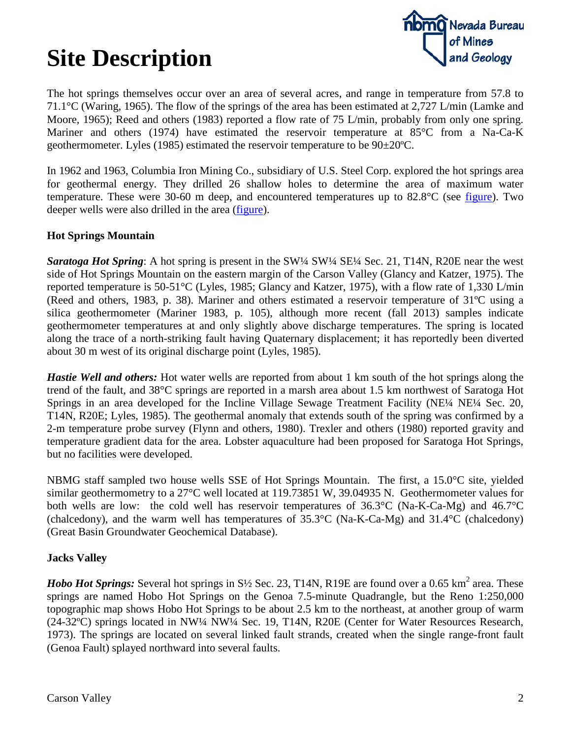

The hot springs themselves occur over an area of several acres, and range in temperature from 57.8 to 71.1°C (Waring, 1965). The flow of the springs of the area has been estimated at 2,727 L/min (Lamke and Moore, 1965); Reed and others (1983) reported a flow rate of 75 L/min, probably from only one spring. Mariner and others (1974) have estimated the reservoir temperature at 85°C from a Na-Ca-K geothermometer. Lyles (1985) estimated the reservoir temperature to be 90±20ºC.

In 1962 and 1963, Columbia Iron Mining Co., subsidiary of U.S. Steel Corp. explored the hot springs area for geothermal energy. They drilled 26 shallow holes to determine the area of maximum water temperature. These were 30-60 m deep, and encountered temperatures up to 82.8°C (see [figure\)](http://www.nbmg.unr.edu/Geothermal/figures/fig18.pdf). Two deeper wells were also drilled in the area [\(figure\)](http://www.nbmg.unr.edu/Geothermal/figures/fig19.pdf).

#### **Hot Springs Mountain**

*Saratoga Hot Spring*: A hot spring is present in the SW¼ SW¼ SE¼ Sec. 21, T14N, R20E near the west side of Hot Springs Mountain on the eastern margin of the Carson Valley (Glancy and Katzer, 1975). The reported temperature is 50-51°C (Lyles, 1985; Glancy and Katzer, 1975), with a flow rate of 1,330 L/min (Reed and others, 1983, p. 38). Mariner and others estimated a reservoir temperature of 31ºC using a silica geothermometer (Mariner 1983, p. 105), although more recent (fall 2013) samples indicate geothermometer temperatures at and only slightly above discharge temperatures. The spring is located along the trace of a north-striking fault having Quaternary displacement; it has reportedly been diverted about 30 m west of its original discharge point (Lyles, 1985).

*Hastie Well and others:* Hot water wells are reported from about 1 km south of the hot springs along the trend of the fault, and 38°C springs are reported in a marsh area about 1.5 km northwest of Saratoga Hot Springs in an area developed for the Incline Village Sewage Treatment Facility (NE¼ NE¼ Sec. 20, T14N, R20E; Lyles, 1985). The geothermal anomaly that extends south of the spring was confirmed by a 2-m temperature probe survey (Flynn and others, 1980). Trexler and others (1980) reported gravity and temperature gradient data for the area. Lobster aquaculture had been proposed for Saratoga Hot Springs, but no facilities were developed.

NBMG staff sampled two house wells SSE of Hot Springs Mountain. The first, a 15.0°C site, yielded similar geothermometry to a 27°C well located at 119.73851 W, 39.04935 N. Geothermometer values for both wells are low: the cold well has reservoir temperatures of 36.3°C (Na-K-Ca-Mg) and 46.7°C (chalcedony), and the warm well has temperatures of 35.3°C (Na-K-Ca-Mg) and 31.4°C (chalcedony) (Great Basin Groundwater Geochemical Database).

#### **Jacks Valley**

*Hobo Hot Springs:* Several hot springs in S<sup>1</sup>/<sub>2</sub> Sec. 23, T14N, R19E are found over a 0.65 km<sup>2</sup> area. These springs are named Hobo Hot Springs on the Genoa 7.5-minute Quadrangle, but the Reno 1:250,000 topographic map shows Hobo Hot Springs to be about 2.5 km to the northeast, at another group of warm (24-32ºC) springs located in NW¼ NW¼ Sec. 19, T14N, R20E (Center for Water Resources Research, 1973). The springs are located on several linked fault strands, created when the single range-front fault (Genoa Fault) splayed northward into several faults.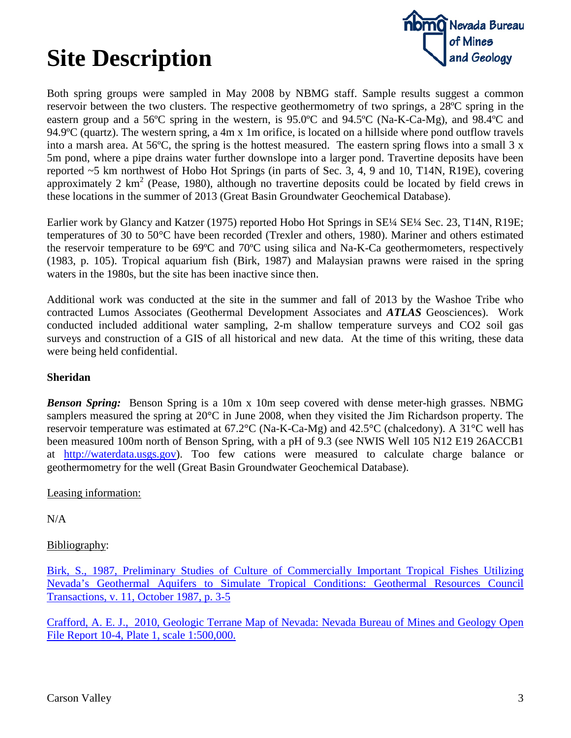

Both spring groups were sampled in May 2008 by NBMG staff. Sample results suggest a common reservoir between the two clusters. The respective geothermometry of two springs, a 28ºC spring in the eastern group and a 56ºC spring in the western, is 95.0ºC and 94.5ºC (Na-K-Ca-Mg), and 98.4ºC and 94.9ºC (quartz). The western spring, a 4m x 1m orifice, is located on a hillside where pond outflow travels into a marsh area. At 56ºC, the spring is the hottest measured. The eastern spring flows into a small 3 x 5m pond, where a pipe drains water further downslope into a larger pond. Travertine deposits have been reported ~5 km northwest of Hobo Hot Springs (in parts of Sec. 3, 4, 9 and 10, T14N, R19E), covering approximately 2  $km^2$  (Pease, 1980), although no travertine deposits could be located by field crews in these locations in the summer of 2013 (Great Basin Groundwater Geochemical Database).

Earlier work by Glancy and Katzer (1975) reported Hobo Hot Springs in SE¼ SE¼ Sec. 23, T14N, R19E; temperatures of 30 to 50°C have been recorded (Trexler and others, 1980). Mariner and others estimated the reservoir temperature to be 69ºC and 70ºC using silica and Na-K-Ca geothermometers, respectively (1983, p. 105). Tropical aquarium fish (Birk, 1987) and Malaysian prawns were raised in the spring waters in the 1980s, but the site has been inactive since then.

Additional work was conducted at the site in the summer and fall of 2013 by the Washoe Tribe who contracted Lumos Associates (Geothermal Development Associates and *ATLAS* Geosciences). Work conducted included additional water sampling, 2-m shallow temperature surveys and CO2 soil gas surveys and construction of a GIS of all historical and new data. At the time of this writing, these data were being held confidential.

#### **Sheridan**

*Benson Spring:* Benson Spring is a 10m x 10m seep covered with dense meter-high grasses. NBMG samplers measured the spring at 20°C in June 2008, when they visited the Jim Richardson property. The reservoir temperature was estimated at 67.2°C (Na-K-Ca-Mg) and 42.5°C (chalcedony). A 31°C well has been measured 100m north of Benson Spring, with a pH of 9.3 (see NWIS Well 105 N12 E19 26ACCB1 at [http://waterdata.usgs.gov\)](http://waterdata.usgs.gov/). Too few cations were measured to calculate charge balance or geothermometry for the well (Great Basin Groundwater Geochemical Database).

Leasing information:

N/A

### Bibliography:

[Birk, S., 1987, Preliminary Studies of Culture of Commercially Important Tropical Fishes Utilizing](http://pubs.geothermal-library.org/lib/grc/1001581.pdf)  [Nevada's Geothermal Aquifers to Simulate Tropical Conditions: Geothermal Resources Council](http://pubs.geothermal-library.org/lib/grc/1001581.pdf)  [Transactions, v. 11, October 1987, p. 3-5](http://pubs.geothermal-library.org/lib/grc/1001581.pdf)

[Crafford, A. E. J., 2010, Geologic Terrane Map of Nevada: Nevada Bureau of Mines and Geology Open](http://www.nbmg.unr.edu/dox/of104plate1.pdf)  [File Report 10-4, Plate 1, scale 1:500,000.](http://www.nbmg.unr.edu/dox/of104plate1.pdf)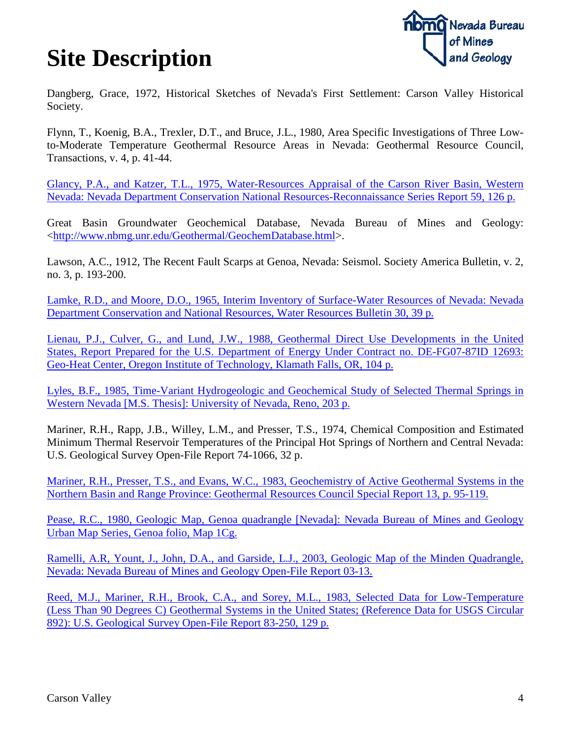

Dangberg, Grace, 1972, Historical Sketches of Nevada's First Settlement: Carson Valley Historical Society.

Flynn, T., Koenig, B.A., Trexler, D.T., and Bruce, J.L., 1980, Area Specific Investigations of Three Lowto-Moderate Temperature Geothermal Resource Areas in Nevada: Geothermal Resource Council, Transactions, v. 4, p. 41-44.

[Glancy, P.A., and Katzer, T.L., 1975, Water-Resources Appraisal of the Carson River Basin, Western](http://images.water.nv.gov/images/publications/recon%20reports/rpt59-carson_river_basin.pdf)  [Nevada: Nevada Department Conservation National Resources-Reconnaissance Series Report 59, 126 p.](http://images.water.nv.gov/images/publications/recon%20reports/rpt59-carson_river_basin.pdf)

Great Basin Groundwater Geochemical Database, Nevada Bureau of Mines and Geology: [<http://www.nbmg.unr.edu/Geothermal/GeochemDatabase.html>](http://www.nbmg.unr.edu/Geothermal/GeochemDatabase.html).

Lawson, A.C., 1912, The Recent Fault Scarps at Genoa, Nevada: Seismol. Society America Bulletin, v. 2, no. 3, p. 193-200.

[Lamke, R.D., and Moore, D.O., 1965, Interim Inventory of Surface-Water Resources of Nevada: Nevada](http://images.water.nv.gov/images/publications/water%20resources%20bulletins/Bulletin30.pdf)  [Department Conservation and National Resources, Water Resources Bulletin 30, 39 p.](http://images.water.nv.gov/images/publications/water%20resources%20bulletins/Bulletin30.pdf)

[Lienau, P.J., Culver, G., and Lund, J.W., 1988, Geothermal Direct Use Developments in the United](http://www.osti.gov/geothermal/servlets/purl/6874166-nxTQVg/6874166.pdf)  [States, Report Prepared for the U.S. Department of Energy Under Contract no. DE-FG07-87ID 12693:](http://www.osti.gov/geothermal/servlets/purl/6874166-nxTQVg/6874166.pdf)  [Geo-Heat Center, Oregon Institute of Technology, Klamath Falls, OR, 104 p.](http://www.osti.gov/geothermal/servlets/purl/6874166-nxTQVg/6874166.pdf)

[Lyles, B.F., 1985, Time-Variant Hydrogeologic and Geochemical Study of Selected Thermal Springs in](ftp://ftp.nbmg.unr.edu/pub/geothermal/11_Documents/Lyles_Time-Variant_1985.pdf)  [Western Nevada \[M.S. Thesis\]: University of Nevada, Reno, 203 p.](ftp://ftp.nbmg.unr.edu/pub/geothermal/11_Documents/Lyles_Time-Variant_1985.pdf)

Mariner, R.H., Rapp, J.B., Willey, L.M., and Presser, T.S., 1974, Chemical Composition and Estimated Minimum Thermal Reservoir Temperatures of the Principal Hot Springs of Northern and Central Nevada: U.S. Geological Survey Open-File Report 74-1066, 32 p.

[Mariner, R.H., Presser, T.S., and Evans, W.C., 1983, Geochemistry of Active Geothermal Systems in the](http://pubs.geothermal-library.org/lib/grc/1005450.pdf)  [Northern Basin and Range Province: Geothermal Resources Council Special Report 13,](http://pubs.geothermal-library.org/lib/grc/1005450.pdf) p. 95-119.

[Pease, R.C., 1980, Geologic Map, Genoa quadrangle \[Nevada\]: Nevada Bureau of Mines and Geology](http://www.nbmg.unr.edu/dox/1Cg.pdf)  [Urban Map Series, Genoa folio, Map 1Cg.](http://www.nbmg.unr.edu/dox/1Cg.pdf)

[Ramelli, A.R, Yount, J., John, D.A., and Garside, L.J., 2003, Geologic Map of the Minden Quadrangle,](http://www.nbmg.unr.edu/dox/OF0313.pdf)  [Nevada: Nevada Bureau of Mines and Geology Open-File Report 03-13.](http://www.nbmg.unr.edu/dox/OF0313.pdf)

[Reed, M.J., Mariner, R.H., Brook, C.A., and Sorey, M.L., 1983, Selected Data for Low-Temperature](http://pubs.usgs.gov/of/1983/0250/report.pdf)  [\(Less Than 90 Degrees C\) Geothermal Systems in the United States; \(Reference Data for USGS Circular](http://pubs.usgs.gov/of/1983/0250/report.pdf)  [892\): U.S. Geological Survey Open-File Report 83-250, 129 p.](http://pubs.usgs.gov/of/1983/0250/report.pdf)